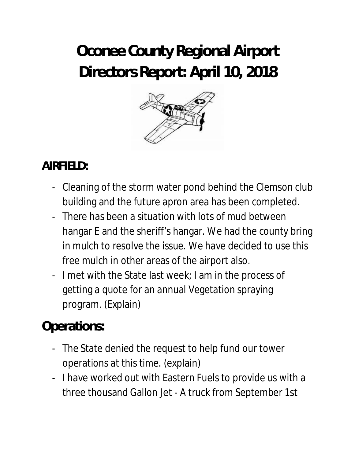# **Oconee County Regional Airport Directors Report: April 10, 2018**



## **AIRFIELD:**

- Cleaning of the storm water pond behind the Clemson club building and the future apron area has been completed.
- There has been a situation with lots of mud between hangar E and the sheriff's hangar. We had the county bring in mulch to resolve the issue. We have decided to use this free mulch in other areas of the airport also.
- I met with the State last week; I am in the process of getting a quote for an annual Vegetation spraying program. (Explain)

## **Operations:**

- The State denied the request to help fund our tower operations at this time. (explain)
- I have worked out with Eastern Fuels to provide us with a three thousand Gallon Jet - A truck from September 1st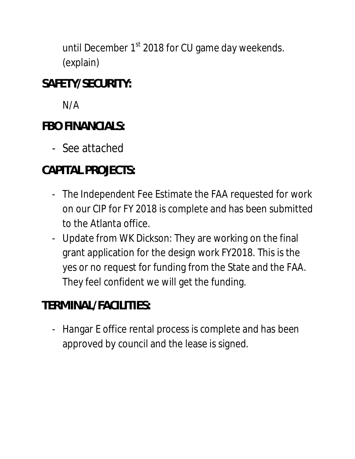until December 1<sup>st</sup> 2018 for CU game day weekends. (explain)

#### **SAFETY/SECURITY:**

N/A

#### **FBO FINANCIALS:**

- See attached

## **CAPITAL PROJECTS:**

- The Independent Fee Estimate the FAA requested for work on our CIP for FY 2018 is complete and has been submitted to the Atlanta office.
- Update from WK Dickson: They are working on the final grant application for the design work FY2018. This is the yes or no request for funding from the State and the FAA. They feel confident we will get the funding.

## **TERMINAL/FACILITIES:**

- Hangar E office rental process is complete and has been approved by council and the lease is signed.